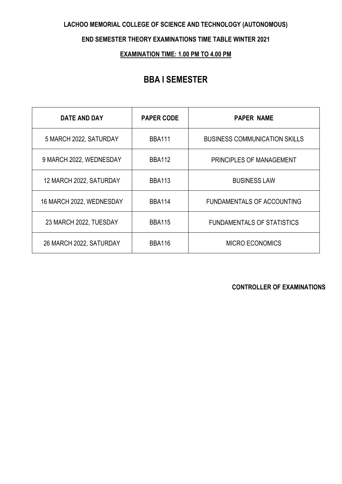#### **LACHOO MEMORIAL COLLEGE OF SCIENCE AND TECHNOLOGY (AUTONOMOUS)**

#### **END SEMESTER THEORY EXAMINATIONS TIME TABLE WINTER 2021**

## **EXAMINATION TIME: 1.00 PM TO 4.00 PM**

## **BBA I SEMESTER**

| DATE AND DAY             | <b>PAPER CODE</b> | <b>PAPER NAME</b>                    |
|--------------------------|-------------------|--------------------------------------|
| 5 MARCH 2022, SATURDAY   | <b>BBA111</b>     | <b>BUSINESS COMMUNICATION SKILLS</b> |
| 9 MARCH 2022, WEDNESDAY  | <b>BBA112</b>     | PRINCIPLES OF MANAGEMENT             |
| 12 MARCH 2022, SATURDAY  | <b>BBA113</b>     | <b>BUSINESS LAW</b>                  |
| 16 MARCH 2022, WEDNESDAY | <b>BBA114</b>     | <b>FUNDAMENTALS OF ACCOUNTING</b>    |
| 23 MARCH 2022, TUESDAY   | <b>BBA115</b>     | <b>FUNDAMENTALS OF STATISTICS</b>    |
| 26 MARCH 2022, SATURDAY  | <b>BBA116</b>     | <b>MICRO ECONOMICS</b>               |

**CONTROLLER OF EXAMINATIONS**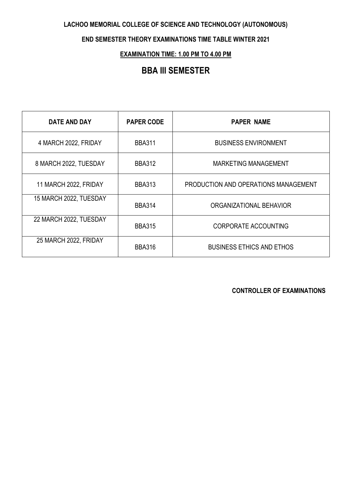### **LACHOO MEMORIAL COLLEGE OF SCIENCE AND TECHNOLOGY (AUTONOMOUS)**

#### **END SEMESTER THEORY EXAMINATIONS TIME TABLE WINTER 2021**

## **EXAMINATION TIME: 1.00 PM TO 4.00 PM**

# **BBA III SEMESTER**

| <b>DATE AND DAY</b>    | <b>PAPER CODE</b> | <b>PAPER NAME</b>                    |
|------------------------|-------------------|--------------------------------------|
| 4 MARCH 2022, FRIDAY   | <b>BBA311</b>     | <b>BUSINESS ENVIRONMENT</b>          |
| 8 MARCH 2022, TUESDAY  | <b>BBA312</b>     | <b>MARKETING MANAGEMENT</b>          |
| 11 MARCH 2022, FRIDAY  | <b>BBA313</b>     | PRODUCTION AND OPERATIONS MANAGEMENT |
| 15 MARCH 2022, TUESDAY | <b>BBA314</b>     | ORGANIZATIONAL BEHAVIOR              |
| 22 MARCH 2022, TUESDAY | <b>BBA315</b>     | <b>CORPORATE ACCOUNTING</b>          |
| 25 MARCH 2022, FRIDAY  | <b>BBA316</b>     | <b>BUSINESS ETHICS AND ETHOS</b>     |

**CONTROLLER OF EXAMINATIONS**